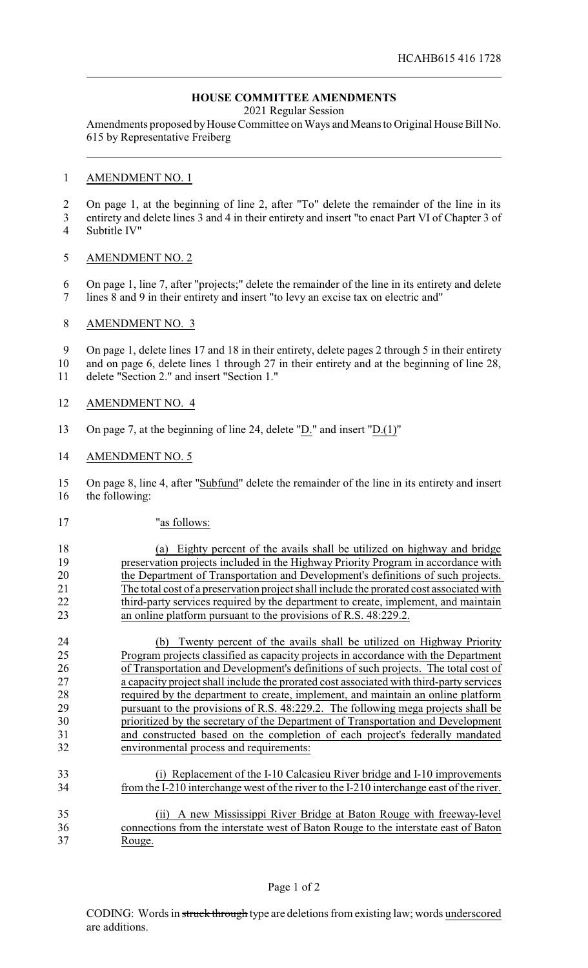# **HOUSE COMMITTEE AMENDMENTS**

2021 Regular Session

Amendments proposed by House Committee on Ways and Means to Original House Bill No. 615 by Representative Freiberg

### AMENDMENT NO. 1

On page 1, at the beginning of line 2, after "To" delete the remainder of the line in its

 entirety and delete lines 3 and 4 in their entirety and insert "to enact Part VI of Chapter 3 of Subtitle IV"

## AMENDMENT NO. 2

 On page 1, line 7, after "projects;" delete the remainder of the line in its entirety and delete lines 8 and 9 in their entirety and insert "to levy an excise tax on electric and"

### AMENDMENT NO. 3

 On page 1, delete lines 17 and 18 in their entirety, delete pages 2 through 5 in their entirety and on page 6, delete lines 1 through 27 in their entirety and at the beginning of line 28,

delete "Section 2." and insert "Section 1."

- AMENDMENT NO. 4
- On page 7, at the beginning of line 24, delete "D." and insert "D.(1)"

#### AMENDMENT NO. 5

 On page 8, line 4, after "Subfund" delete the remainder of the line in its entirety and insert the following:

"as follows:

 (a) Eighty percent of the avails shall be utilized on highway and bridge preservation projects included in the Highway Priority Program in accordance with the Department of Transportation and Development's definitions of such projects. The total cost of a preservation project shall include the prorated cost associated with 22 third-party services required by the department to create, implement, and maintain an online platform pursuant to the provisions of R.S. 48:229.2.

 (b) Twenty percent of the avails shall be utilized on Highway Priority Program projects classified as capacity projects in accordance with the Department of Transportation and Development's definitions of such projects. The total cost of a capacity project shall include the prorated cost associated with third-party services required by the department to create, implement, and maintain an online platform pursuant to the provisions of R.S. 48:229.2. The following mega projects shall be prioritized by the secretary of the Department of Transportation and Development and constructed based on the completion of each project's federally mandated environmental process and requirements:

- (i) Replacement of the I-10 Calcasieu River bridge and I-10 improvements from the I-210 interchange west of the river to the I-210 interchange east of the river.
- (ii) A new Mississippi River Bridge at Baton Rouge with freeway-level connections from the interstate west of Baton Rouge to the interstate east of Baton Rouge.